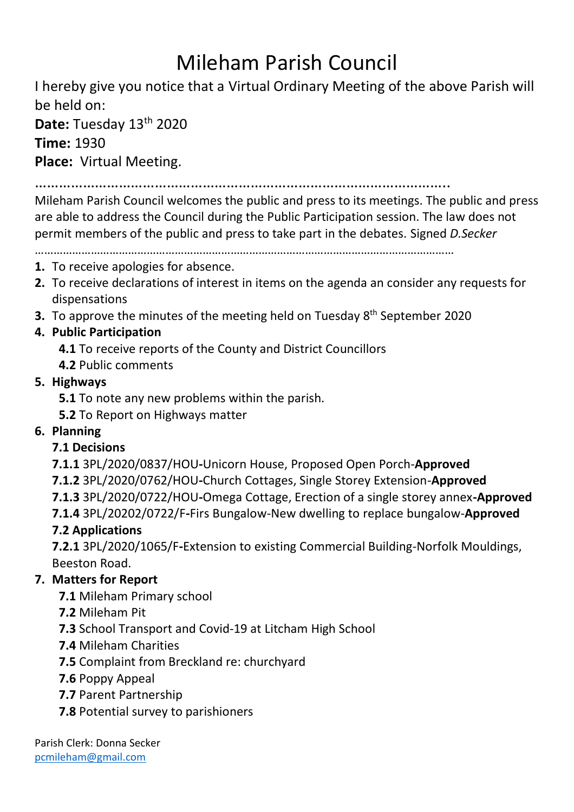# Mileham Parish Council

I hereby give you notice that a Virtual Ordinary Meeting of the above Parish will be held on:

**Date:** Tuesday 13<sup>th</sup> 2020

**Time:** 1930

**Place:** Virtual Meeting.

…………………………………………………………………………………………..

Mileham Parish Council welcomes the public and press to its meetings. The public and press are able to address the Council during the Public Participation session. The law does not permit members of the public and press to take part in the debates. Signed *D.Secker*

………………………………………………………………………………………………………………………

#### **1.** To receive apologies for absence.

- **2.** To receive declarations of interest in items on the agenda an consider any requests for dispensations
- **3.** To approve the minutes of the meeting held on Tuesday 8<sup>th</sup> September 2020

## **4. Public Participation**

- **4.1** To receive reports of the County and District Councillors
- **4.2** Public comments
- **5. Highways**
	- **5.1** To note any new problems within the parish.
	- **5.2** To Report on Highways matter

## **6. Planning**

### **7.1 Decisions**

**7.1.1** 3PL/2020/0837/HOU**-**Unicorn House, Proposed Open Porch-**Approved**

**7.1.2** 3PL/2020/0762/HOU**-**Church Cottages, Single Storey Extension-**Approved**

**7.1.3** 3PL/2020/0722/HOU**-**Omega Cottage, Erection of a single storey annex**-Approved**

**7.1.4** 3PL/20202/0722/F**-**Firs Bungalow-New dwelling to replace bungalow-**Approved** 

## **7.2 Applications**

**7.2.1** 3PL/2020/1065/F**-**Extension to existing Commercial Building-Norfolk Mouldings, Beeston Road.

## **7. Matters for Report**

**7.1** Mileham Primary school

- **7.2** Mileham Pit
- **7.3** School Transport and Covid-19 at Litcham High School
- **7.4** Mileham Charities
- **7.5** Complaint from Breckland re: churchyard
- **7.6** Poppy Appeal
- **7.7** Parent Partnership
- **7.8** Potential survey to parishioners

Parish Clerk: Donna Secker [pcmileham@gmail.com](mailto:pcmileham@gmail.com)